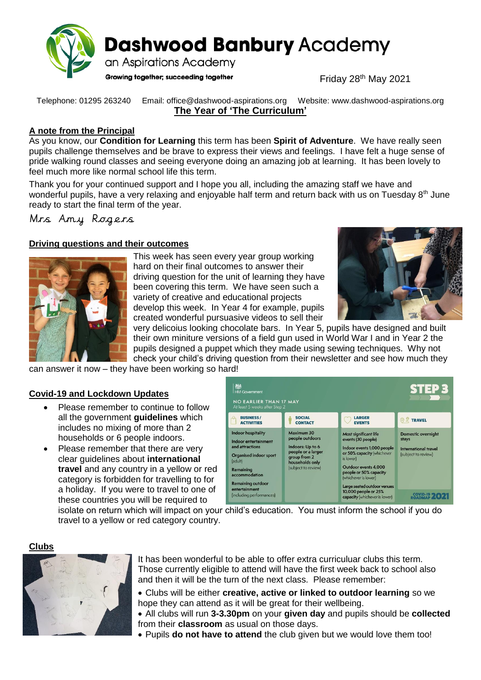

**Dashwood Banbury Academy** 

an Aspirations Academy

Growing together; succeeding together

Friday 28th May 2021

Telephone: 01295 263240 Email: office@dashwood-aspirations.org Website: www.dashwood-aspirations.org **The Year of 'The Curriculum'**

## **A note from the Principal**

As you know, our **Condition for Learning** this term has been **Spirit of Adventure**. We have really seen pupils challenge themselves and be brave to express their views and feelings. I have felt a huge sense of pride walking round classes and seeing everyone doing an amazing job at learning. It has been lovely to feel much more like normal school life this term.

Thank you for your continued support and I hope you all, including the amazing staff we have and wonderful pupils, have a very relaxing and enjoyable half term and return back with us on Tuesday 8<sup>th</sup> June ready to start the final term of the year.

Mrs Amy Rogers

# **Driving questions and their outcomes**



This week has seen every year group working hard on their final outcomes to answer their driving question for the unit of learning they have been covering this term. We have seen such a variety of creative and educational projects develop this week. In Year 4 for example, pupils created wonderful pursuasive videos to sell their



very delicoius looking chocolate bars. In Year 5, pupils have designed and built their own miniture versions of a field gun used in World War I and in Year 2 the pupils designed a puppet which they made using sewing techniques. Why not check your child's driving question from their newsletter and see how much they

can answer it now – they have been working so hard!

# **Covid-19 and Lockdown Updates**

- Please remember to continue to follow all the government **guidelines** which includes no mixing of more than 2 households or 6 people indoors.
- Please remember that there are very clear guidelines about **international travel** and any country in a yellow or red category is forbidden for travelling to for a holiday. If you were to travel to one of these countries you will be required to

| 総<br>STEP 3<br><b>HM Government</b><br><b>NO EARLIER THAN 17 MAY</b><br>At least 5 weeks after Step 2                                                                                                            |                                                                                                                                   |                                                                                                                                                                                                                                                                                               |                                                                                                         |
|------------------------------------------------------------------------------------------------------------------------------------------------------------------------------------------------------------------|-----------------------------------------------------------------------------------------------------------------------------------|-----------------------------------------------------------------------------------------------------------------------------------------------------------------------------------------------------------------------------------------------------------------------------------------------|---------------------------------------------------------------------------------------------------------|
| <b>BUSINESS/</b><br><b>ACTIVITIES</b>                                                                                                                                                                            | <b>SOCIAL</b><br><b>CONTACT</b>                                                                                                   | <b>LARGER</b><br><b>EVENTS</b>                                                                                                                                                                                                                                                                | <b>O Z TRAVEL</b>                                                                                       |
| <b>Indoor hospitality</b><br>Indoor entertainment<br>and attractions<br>Organised indoor sport<br>(adult)<br>Remaining<br>accommodation<br><b>Remaining outdoor</b><br>entertainment<br>(including performances) | Maximum 30<br>people outdoors<br>Indoors: Up to 6<br>people or a larger<br>group from 2<br>households only<br>(subject to review) | <b>Most significant life</b><br>events (30 people)<br>Indoor events 1,000 people<br>or 50% capacity (whichever<br>is lower)<br>Outdoor events 4,000<br>people or 50% capacity<br>(whichever is lower)<br>Large seated outdoor venues<br>10,000 people or 25%<br>capacity (whichever is lower) | <b>Domestic overnight</b><br>stays<br><b>International travel</b><br>(subject to review)<br>COVID-19 20 |

isolate on return which will impact on your child's education. You must inform the school if you do travel to a yellow or red category country.

## **Clubs**



It has been wonderful to be able to offer extra curriculuar clubs this term. Those currently eligible to attend will have the first week back to school also and then it will be the turn of the next class. Please remember:

- Clubs will be either **creative, active or linked to outdoor learning** so we hope they can attend as it will be great for their wellbeing.
- All clubs will run **3-3.30pm** on your **given day** and pupils should be **collected** from their **classroom** as usual on those days.
- Pupils **do not have to attend** the club given but we would love them too!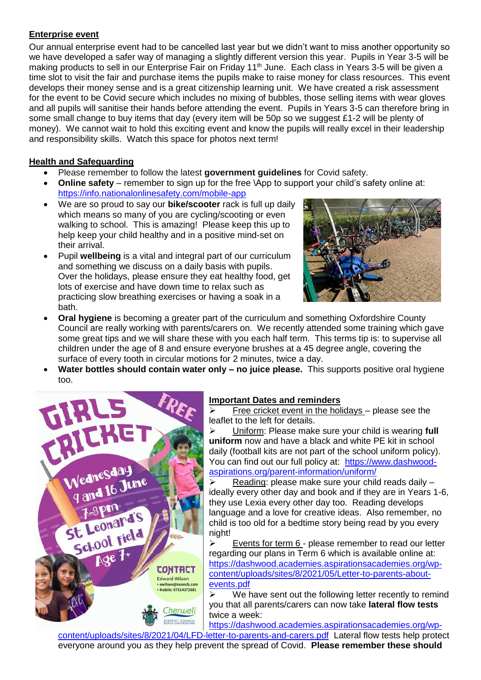## **Enterprise event**

Our annual enterprise event had to be cancelled last year but we didn't want to miss another opportunity so we have developed a safer way of managing a slightly different version this year. Pupils in Year 3-5 will be making products to sell in our Enterprise Fair on Friday 11<sup>th</sup> June. Each class in Years 3-5 will be given a time slot to visit the fair and purchase items the pupils make to raise money for class resources. This event develops their money sense and is a great citizenship learning unit. We have created a risk assessment for the event to be Covid secure which includes no mixing of bubbles, those selling items with wear gloves and all pupils will sanitise their hands before attending the event. Pupils in Years 3-5 can therefore bring in some small change to buy items that day (every item will be 50p so we suggest £1-2 will be plenty of money). We cannot wait to hold this exciting event and know the pupils will really excel in their leadership and responsibility skills. Watch this space for photos next term!

# **Health and Safeguarding**

- Please remember to follow the latest **government guidelines** for Covid safety.
- **Online safety** remember to sign up for the free \App to support your child's safety online at: <https://info.nationalonlinesafety.com/mobile-app>
- We are so proud to say our **bike/scooter** rack is full up daily which means so many of you are cycling/scooting or even walking to school. This is amazing! Please keep this up to help keep your child healthy and in a positive mind-set on their arrival.
- Pupil **wellbeing** is a vital and integral part of our curriculum and something we discuss on a daily basis with pupils. Over the holidays, please ensure they eat healthy food, get lots of exercise and have down time to relax such as practicing slow breathing exercises or having a soak in a bath.



- **Oral hygiene** is becoming a greater part of the curriculum and something Oxfordshire County Council are really working with parents/carers on. We recently attended some training which gave some great tips and we will share these with you each half term. This terms tip is: to supervise all children under the age of 8 and ensure everyone brushes at a 45 degree angle, covering the surface of every tooth in circular motions for 2 minutes, twice a day.
- **Water bottles should contain water only – no juice please.** This supports positive oral hygiene too.



# **Important Dates and reminders**

 $\triangleright$  Free cricket event in the holidays – please see the leaflet to the left for details.

 Uniform: Please make sure your child is wearing **full uniform** now and have a black and white PE kit in school daily (football kits are not part of the school uniform policy). You can find out our full policy at: [https://www.dashwood](https://www.dashwood-aspirations.org/parent-information/uniform/)[aspirations.org/parent-information/uniform/](https://www.dashwood-aspirations.org/parent-information/uniform/)

 $\triangleright$  Reading: please make sure your child reads daily  $$ ideally every other day and book and if they are in Years 1-6, they use Lexia every other day too. Reading develops language and a love for creative ideas. Also remember, no child is too old for a bedtime story being read by you every night!

 $\triangleright$  Events for term 6 - please remember to read our letter regarding our plans in Term 6 which is available online at: [https://dashwood.academies.aspirationsacademies.org/wp](https://dashwood.academies.aspirationsacademies.org/wp-content/uploads/sites/8/2021/05/Letter-to-parents-about-events.pdf)[content/uploads/sites/8/2021/05/Letter-to-parents-about](https://dashwood.academies.aspirationsacademies.org/wp-content/uploads/sites/8/2021/05/Letter-to-parents-about-events.pdf)[events.pdf](https://dashwood.academies.aspirationsacademies.org/wp-content/uploads/sites/8/2021/05/Letter-to-parents-about-events.pdf)

 $\triangleright$  We have sent out the following letter recently to remind you that all parents/carers can now take **lateral flow tests** twice a week:

[https://dashwood.academies.aspirationsacademies.org/wp-](https://dashwood.academies.aspirationsacademies.org/wp-content/uploads/sites/8/2021/04/LFD-letter-to-parents-and-carers.pdf)

[content/uploads/sites/8/2021/04/LFD-letter-to-parents-and-carers.pdf](https://dashwood.academies.aspirationsacademies.org/wp-content/uploads/sites/8/2021/04/LFD-letter-to-parents-and-carers.pdf) Lateral flow tests help protect everyone around you as they help prevent the spread of Covid. **Please remember these should**